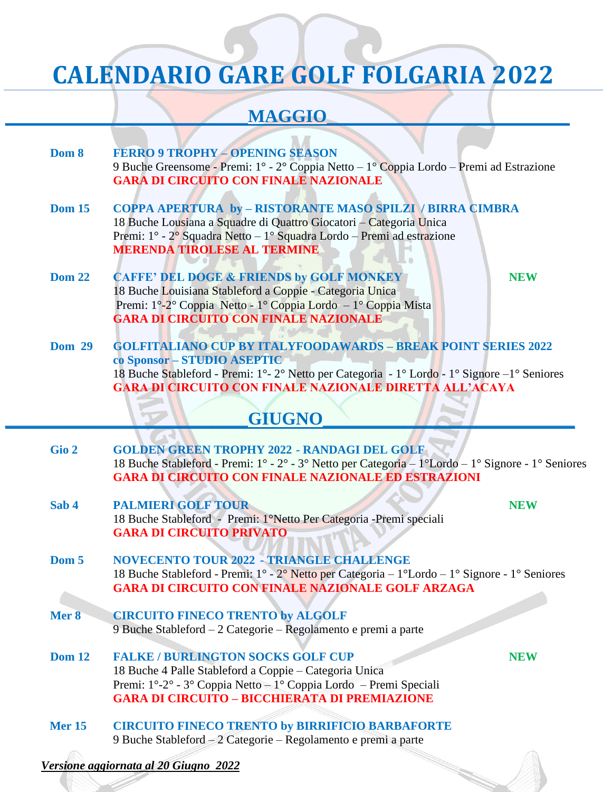# **CALENDARIO GARE GOLF FOLGARIA 2022**

### $MAGGIO$

| Dom 8 | <b>FERRO 9 TROPHY - OPENING SEASON</b>                                                                            |
|-------|-------------------------------------------------------------------------------------------------------------------|
|       | 9 Buche Greensome - Premi: $1^{\circ}$ - $2^{\circ}$ Coppia Netto $-1^{\circ}$ Coppia Lordo - Premi ad Estrazione |
|       | <b>GARA DI CIRCUITO CON FINALE NAZIONALE</b>                                                                      |

- **Dom 15 COPPA APERTURA by – RISTORANTE MASO SPILZI / BIRRA CIMBRA** 18 Buche Lousiana a Squadre di Quattro Giocatori – Categoria Unica Premi: 1° - 2° Squadra Netto – 1° Squadra Lordo – Premi ad estrazione **MERENDA TIROLESE AL TERMINE**
- **Dom 22 CAFFE' DEL DOGE & FRIENDS by GOLF MONKEY NEW** 18 Buche Louisiana Stableford a Coppie - Categoria Unica Premi: 1°-2° Coppia Netto - 1° Coppia Lordo – 1° Coppia Mista **GARA DI CIRCUITO CON FINALE NAZIONALE**

**Dom 29 GOLFITALIANO CUP BY ITALYFOODAWARDS – BREAK POINT SERIES 2022 co Sponsor – STUDIO ASEPTIC**  18 Buche Stableford - Premi: 1°- 2° Netto per Categoria - 1° Lordo - 1° Signore –1° Seniores **GARA DI CIRCUITO CON FINALE NAZIONALE DIRETTA ALL'ACAYA**

#### **\_\_\_\_\_\_\_\_\_\_\_\_\_\_\_\_\_\_\_\_\_\_\_\_\_\_\_GIUGNO\_\_\_\_\_\_\_\_\_\_\_\_\_\_\_\_\_\_\_\_\_\_\_\_\_\_\_\_**

- **Gio 2 GOLDEN GREEN TROPHY 2022 - RANDAGI DEL GOLF**  18 Buche Stableford - Premi: 1° - 2° - 3° Netto per Categoria – 1°Lordo – 1° Signore - 1° Seniores **GARA DI CIRCUITO CON FINALE NAZIONALE ED ESTRAZIONI**
- **Sab 4 PALMIERI GOLF TOUR** NEW 18 Buche Stableford - Premi: 1°Netto Per Categoria -Premi speciali **GARA DI CIRCUITO PRIVATO**
- 
- **Dom 5 NOVECENTO TOUR 2022 - TRIANGLE CHALLENGE** 18 Buche Stableford - Premi: 1° - 2° Netto per Categoria – 1°Lordo – 1° Signore - 1° Seniores **GARA DI CIRCUITO CON FINALE NAZIONALE GOLF ARZAGA**
- **Mer 8 CIRCUITO FINECO TRENTO by ALGOLF** 9 Buche Stableford – 2 Categorie – Regolamento e premi a parte
- **Dom 12 FALKE / BURLINGTON SOCKS GOLF CUP NEW** 18 Buche 4 Palle Stableford a Coppie – Categoria Unica Premi: 1°-2° - 3° Coppia Netto – 1° Coppia Lordo – Premi Speciali **GARA DI CIRCUITO – BICCHIERATA DI PREMIAZIONE**
- **Mer 15 CIRCUITO FINECO TRENTO by BIRRIFICIO BARBAFORTE** 9 Buche Stableford – 2 Categorie – Regolamento e premi a parte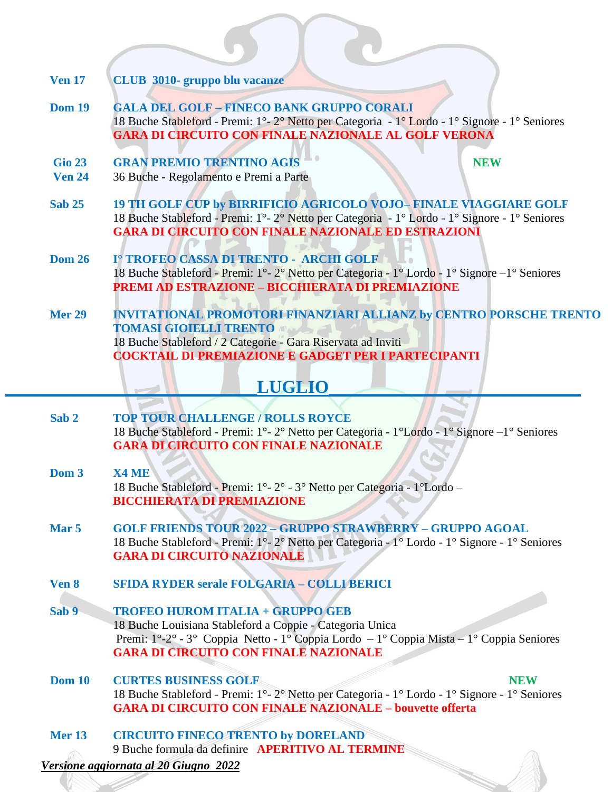| <b>Ven 17</b>                  | <b>CLUB 3010- gruppo blu vacanze</b>                                                                                                                                                                                                           |
|--------------------------------|------------------------------------------------------------------------------------------------------------------------------------------------------------------------------------------------------------------------------------------------|
| <b>Dom 19</b>                  | <b>GALA DEL GOLF - FINECO BANK GRUPPO CORALI</b><br>18 Buche Stableford - Premi: 1° - 2° Netto per Categoria - 1° Lordo - 1° Signore - 1° Seniores<br><b>GARA DI CIRCUITO CON FINALE NAZIONALE AL GOLF VERONA</b>                              |
| <b>Gio 23</b><br><b>Ven 24</b> | <b>GRAN PREMIO TRENTINO AGIS</b><br><b>NEW</b><br>36 Buche - Regolamento e Premi a Parte                                                                                                                                                       |
| <b>Sab 25</b>                  | 19 TH GOLF CUP by BIRRIFICIO AGRICOLO VOJO-FINALE VIAGGIARE GOLF<br>18 Buche Stableford - Premi: 1°-2° Netto per Categoria - 1° Lordo - 1° Signore - 1° Seniores<br><b>GARA DI CIRCUITO CON FINALE NAZIONALE ED ESTRAZIONI</b>                 |
| <b>Dom 26</b>                  | I° TROFEO CASSA DI TRENTO - ARCHI GOLF<br>18 Buche Stableford - Premi: 1°-2° Netto per Categoria - 1° Lordo - 1° Signore - 1° Seniores<br>PREMI AD ESTRAZIONE – BICCHIERATA DI PREMIAZIONE                                                     |
| <b>Mer 29</b>                  | <b>INVITATIONAL PROMOTORI FINANZIARI ALLIANZ by CENTRO PORSCHE TRENTO</b><br><b>TOMASI GIOIELLI TRENTO</b><br>18 Buche Stableford / 2 Categorie - Gara Riservata ad Inviti<br><b>COCKTAIL DI PREMIAZIONE E GADGET PER I PARTECIPANTI</b>       |
|                                | <b>LUGLIO</b>                                                                                                                                                                                                                                  |
| Sab <sub>2</sub>               | <b>TOP TOUR CHALLENGE / ROLLS ROYCE</b><br>18 Buche Stableford - Premi: 1°-2° Netto per Categoria - 1°Lordo - 1° Signore - 1° Seniores<br><b>GARA DI CIRCUITO CON FINALE NAZIONALE</b>                                                         |
| Dom 3                          | X4 ME<br>18 Buche Stableford - Premi: 1° - 2° - 3° Netto per Categoria - 1°Lordo -<br><b>BICCHIERATA DI PREMIAZIONE</b>                                                                                                                        |
| Mar <sub>5</sub>               | <b>GOLF FRIENDS TOUR 2022 - GRUPPO STRAWBERRY - GRUPPO AGOAL</b><br>18 Buche Stableford - Premi: 1º-2° Netto per Categoria - 1º Lordo - 1º Signore - 1º Seniores<br><b>GARA DI CIRCUITO NAZIONALE</b>                                          |
| Ven 8                          | <b>SFIDA RYDER serale FOLGARIA - COLLI BERICI</b>                                                                                                                                                                                              |
| Sab 9                          | <b>TROFEO HUROM ITALIA + GRUPPO GEB</b><br>18 Buche Louisiana Stableford a Coppie - Categoria Unica<br>Premi: 1°-2° - 3° Coppia Netto - 1° Coppia Lordo - 1° Coppia Mista - 1° Coppia Seniores<br><b>GARA DI CIRCUITO CON FINALE NAZIONALE</b> |

**Dom 10 CURTES BUSINESS GOLF NEW** 18 Buche Stableford - Premi: 1°- 2° Netto per Categoria - 1° Lordo - 1° Signore - 1° Seniores **GARA DI CIRCUITO CON FINALE NAZIONALE – bouvette offerta** 

**Mer 13 CIRCUITO FINECO TRENTO by DORELAND** 9 Buche formula da definire **APERITIVO AL TERMINE**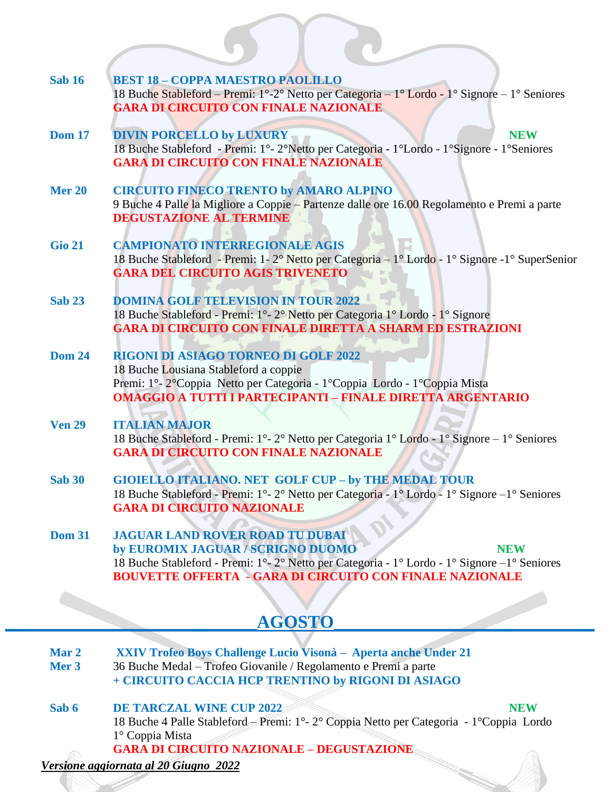| <b>Sab 16</b> | <b>BEST 18 - COPPA MAESTRO PAOLILLO</b><br>18 Buche Stableford – Premi: 1°-2° Netto per Categoria – 1° Lordo - 1° Signore – 1° Seniores                                                                      |
|---------------|--------------------------------------------------------------------------------------------------------------------------------------------------------------------------------------------------------------|
|               | <b>GARA DI CIRCUITO CON FINALE NAZIONALE</b>                                                                                                                                                                 |
| <b>Dom 17</b> | <b>DIVIN PORCELLO by LUXURY</b><br><b>NEW</b><br>18 Buche Stableford - Premi: 1°-2°Netto per Categoria - 1°Lordo - 1°Signore - 1°Seniores                                                                    |
|               | <b>GARA DI CIRCUITO CON FINALE NAZIONALE</b>                                                                                                                                                                 |
| <b>Mer 20</b> | <b>CIRCUITO FINECO TRENTO by AMARO ALPINO</b><br>9 Buche 4 Palle la Migliore a Coppie – Partenze dalle ore 16.00 Regolamento e Premi a parte                                                                 |
|               | <b>DEGUSTAZIONE AL TERMINE</b>                                                                                                                                                                               |
| <b>Gio 21</b> | <b>CAMPIONATO INTERREGIONALE AGIS</b><br>18 Buche Stableford - Premi: 1-2° Netto per Categoria - 1° Lordo - 1° Signore - 1° SuperSenior                                                                      |
|               | <b>GARA DEL CIRCUITO AGIS TRIVENETO</b>                                                                                                                                                                      |
| <b>Sab 23</b> | <b>DOMINA GOLF TELEVISION IN TOUR 2022</b><br>18 Buche Stableford - Premi: 1° - 2° Netto per Categoria 1° Lordo - 1° Signore                                                                                 |
|               | <b>GARA DI CIRCUITO CON FINALE DIRETTA A SHARM ED ESTRAZIONI</b>                                                                                                                                             |
| <b>Dom 24</b> | <b>RIGONI DI ASIAGO TORNEO DI GOLF 2022</b><br>18 Buche Lousiana Stableford a coppie                                                                                                                         |
|               | Premi: 1º-2º Coppia Netto per Categoria - 1º Coppia Lordo - 1º Coppia Mista<br><b>OMAGGIO A TUTTI I PARTECIPANTI - FINALE DIRETTA ARGENTARIO</b>                                                             |
| <b>Ven 29</b> | <b>ITALIAN MAJOR</b>                                                                                                                                                                                         |
|               | 18 Buche Stableford - Premi: 1°-2° Netto per Categoria 1° Lordo - 1° Signore – 1° Seniores<br><b>GARA DI CIRCUITO CON FINALE NAZIONALE</b>                                                                   |
| <b>Sab 30</b> | <b>GIOIELLO ITALIANO. NET GOLF CUP - by THE MEDAL TOUR</b>                                                                                                                                                   |
|               | 18 Buche Stableford - Premi: 1°-2° Netto per Categoria - 1° Lordo - 1° Signore - 1° Seniores<br><b>GARA DI CIRCUITO NAZIONALE</b>                                                                            |
| <b>Dom 31</b> | of<br><b>JAGUAR LAND ROVER ROAD TU DUBAI</b>                                                                                                                                                                 |
|               | by EUROMIX JAGUAR / SCRIGNO DUOMO<br><b>NEW</b><br>18 Buche Stableford - Premi: 1 <sup>°</sup> -2 <sup>°</sup> Netto per Categoria - 1 <sup>°</sup> Lordo - 1 <sup>°</sup> Signore - 1 <sup>°</sup> Seniores |
|               | <b>BOUVETTE OFFERTA - GARA DI CIRCUITO CON FINALE NAZIONALE</b>                                                                                                                                              |
|               |                                                                                                                                                                                                              |
|               | <b>AGOSTO</b>                                                                                                                                                                                                |
| Mar 2         | XXIV Trofeo Boys Challenge Lucio Visonà - Aperta anche Under 21                                                                                                                                              |
| Mer 3         | 36 Buche Medal - Trofeo Giovanile / Regolamento e Premi a parte<br>+ CIRCUITO CACCIA HCP TRENTINO by RIGONI DI ASIAGO                                                                                        |

**Sab 6 DE TARCZAL WINE CUP 2022 NEW** 18 Buche 4 Palle Stableford – Premi: 1°- 2° Coppia Netto per Categoria - 1°Coppia Lordo 1° Coppia Mista **GARA DI CIRCUITO NAZIONALE – DEGUSTAZIONE**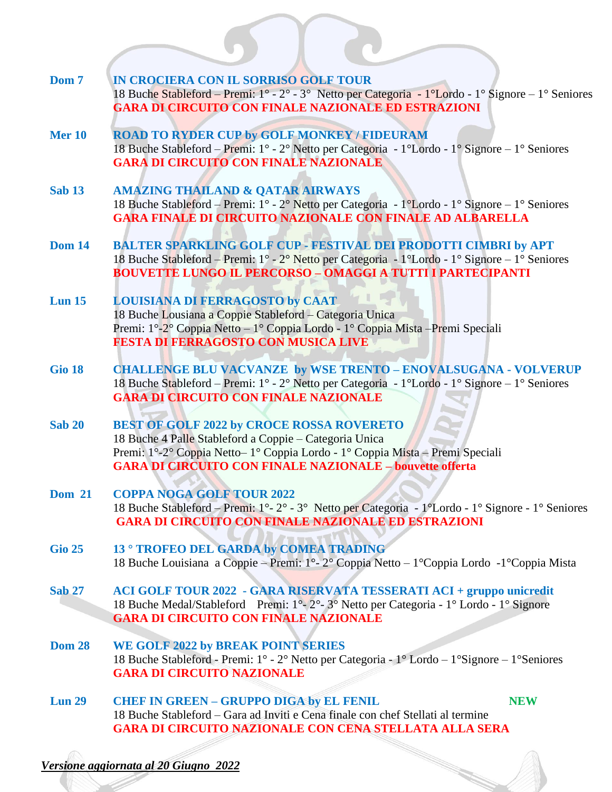| Dom 7         | IN CROCIERA CON IL SORRISO GOLF TOUR<br>18 Buche Stableford – Premi: 1° - 2° - 3° Netto per Categoria - 1°Lordo - 1° Signore – 1° Seniores<br><b>GARA DI CIRCUITO CON FINALE NAZIONALE ED ESTRAZIONI</b>                                                                    |
|---------------|-----------------------------------------------------------------------------------------------------------------------------------------------------------------------------------------------------------------------------------------------------------------------------|
| <b>Mer 10</b> | <b>ROAD TO RYDER CUP by GOLF MONKEY / FIDEURAM</b><br>18 Buche Stableford – Premi: 1° - 2° Netto per Categoria - 1°Lordo - 1° Signore – 1° Seniores<br><b>GARA DI CIRCUITO CON FINALE NAZIONALE</b>                                                                         |
| <b>Sab 13</b> | <b>AMAZING THAILAND &amp; QATAR AIRWAYS</b><br>18 Buche Stableford – Premi: 1° - 2° Netto per Categoria - 1°Lordo - 1° Signore – 1° Seniores<br><b>GARA FINALE DI CIRCUITO NAZIONALE CON FINALE AD ALBARELLA</b>                                                            |
| <b>Dom 14</b> | BALTER SPARKLING GOLF CUP - FESTIVAL DEI PRODOTTI CIMBRI by APT<br>18 Buche Stableford - Premi: 1° - 2° Netto per Categoria - 1°Lordo - 1° Signore - 1° Seniores<br><b>BOUVETTE LUNGO IL PERCORSO - OMAGGI A TUTTI I PARTECIPANTI</b>                                       |
| $Lun$ 15      | <b>LOUISIANA DI FERRAGOSTO by CAAT</b><br>18 Buche Lousiana a Coppie Stableford - Categoria Unica<br>Premi: 1°-2° Coppia Netto – 1° Coppia Lordo - 1° Coppia Mista – Premi Speciali<br><b>FESTA DI FERRAGOSTO CON MUSICA LIVE</b>                                           |
| <b>Gio 18</b> | <b>CHALLENGE BLU VACVANZE by WSE TRENTO - ENOVALSUGANA - VOLVERUP</b><br>18 Buche Stableford - Premi: 1° - 2° Netto per Categoria - 1°Lordo - 1° Signore - 1° Seniores<br><b>GARA DI CIRCUITO CON FINALE NAZIONALE</b>                                                      |
| <b>Sab 20</b> | <b>BEST OF GOLF 2022 by CROCE ROSSA ROVERETO</b><br>18 Buche 4 Palle Stableford a Coppie - Categoria Unica<br>Premi: 1°-2° Coppia Netto-1° Coppia Lordo - 1° Coppia Mista - Premi Speciali<br><b>GARA DI CIRCUITO CON FINALE NAZIONALE - bouvette offerta</b>               |
| <b>Dom 21</b> | <b>COPPA NOGA GOLF TOUR 2022</b><br>18 Buche Stableford – Premi: 1°-2° - 3° Netto per Categoria - 1°Lordo - 1° Signore - 1° Seniores<br><b>GARA DI CIRCUITO CON FINALE NAZIONALE ED ESTRAZIONI</b>                                                                          |
| <b>Gio 25</b> | <b>13° TROFEO DEL GARDA by COMEA TRADING</b><br>18 Buche Louisiana a Coppie – Premi: 1°-2° Coppia Netto – 1° Coppia Lordo - 1° Coppia Mista                                                                                                                                 |
| <b>Sab 27</b> | ACI GOLF TOUR 2022 - GARA RISERVATA TESSERATI ACI + gruppo unicredit<br>18 Buche Medal/Stableford Premi: 1 <sup>°</sup> -2 <sup>°</sup> -3 <sup>°</sup> Netto per Categoria - 1 <sup>°</sup> Lordo - 1 <sup>°</sup> Signore<br><b>GARA DI CIRCUITO CON FINALE NAZIONALE</b> |
| <b>Dom 28</b> | <b>WE GOLF 2022 by BREAK POINT SERIES</b><br>18 Buche Stableford - Premi: 1° - 2° Netto per Categoria - 1° Lordo - 1° Signore - 1° Seniores<br><b>GARA DI CIRCUITO NAZIONALE</b>                                                                                            |
| <b>Lun 29</b> | <b>CHEF IN GREEN - GRUPPO DIGA by EL FENIL</b><br><b>NEW</b><br>18 Buche Stableford – Gara ad Inviti e Cena finale con chef Stellati al termine<br><b>GARA DI CIRCUITO NAZIONALE CON CENA STELLATA ALLA SERA</b>                                                            |
|               |                                                                                                                                                                                                                                                                             |
|               | lersione aggiornata al 20 Giugno 2022                                                                                                                                                                                                                                       |
|               |                                                                                                                                                                                                                                                                             |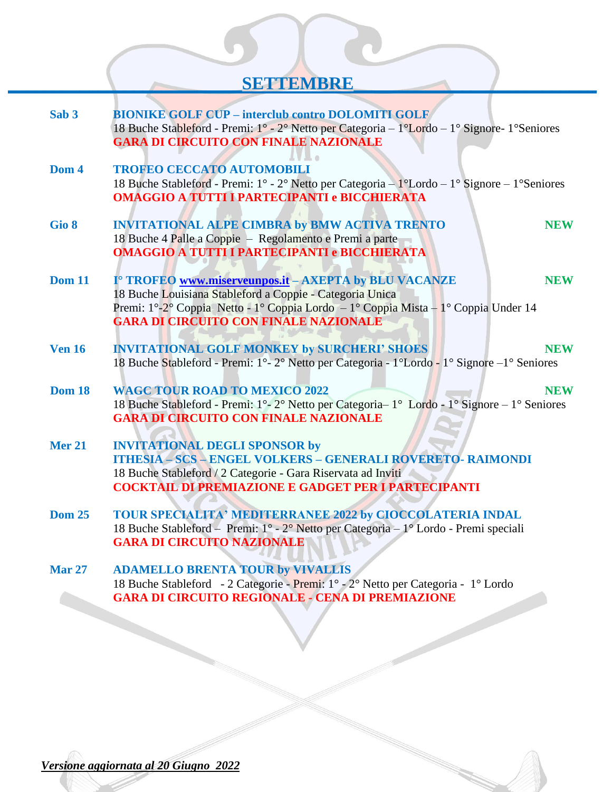## **\_\_\_\_\_\_\_\_\_\_\_\_\_\_\_\_\_\_\_\_\_\_\_\_\_\_SETTEMBRE\_\_\_\_\_\_\_\_\_\_\_\_\_\_\_\_\_\_\_\_\_\_\_\_\_\_\_**

| Sab <sub>3</sub> | <b>BIONIKE GOLF CUP - interclub contro DOLOMITI GOLF</b><br>18 Buche Stableford - Premi: 1 <sup>°</sup> - 2 <sup>°</sup> Netto per Categoria - 1 <sup>°</sup> Lordo - 1 <sup>°</sup> Signore- 1 <sup>°</sup> Seniores<br><b>GARA DI CIRCUITO CON FINALE NAZIONALE</b>             |
|------------------|-----------------------------------------------------------------------------------------------------------------------------------------------------------------------------------------------------------------------------------------------------------------------------------|
| Dom 4            | <b>TROFEO CECCATO AUTOMOBILI</b><br>18 Buche Stableford - Premi: 1° - 2° Netto per Categoria - 1°Lordo - 1° Signore - 1°Seniores<br><b>OMAGGIO A TUTTI I PARTECIPANTI e BICCHIERATA</b>                                                                                           |
| Gio 8            | <b>INVITATIONAL ALPE CIMBRA by BMW ACTIVA TRENTO</b><br><b>NEW</b><br>18 Buche 4 Palle a Coppie - Regolamento e Premi a parte<br><b>OMAGGIO A TUTTI I PARTECIPANTI e BICCHIERATA</b>                                                                                              |
| <b>Dom 11</b>    | I <sup>o</sup> TROFEO www.miserveunpos.it - AXEPTA by BLU VACANZE<br><b>NEW</b><br>18 Buche Louisiana Stableford a Coppie - Categoria Unica<br>Premi: 1°-2° Coppia Netto - 1° Coppia Lordo - 1° Coppia Mista - 1° Coppia Under 14<br><b>GARA DI CIRCUITO CON FINALE NAZIONALE</b> |
| <b>Ven 16</b>    | <b>INVITATIONAL GOLF MONKEY by SURCHERI' SHOES</b><br><b>NEW</b><br>18 Buche Stableford - Premi: 1°-2° Netto per Categoria - 1°Lordo - 1° Signore - 1° Seniores                                                                                                                   |
| <b>Dom 18</b>    | <b>WAGC TOUR ROAD TO MEXICO 2022</b><br><b>NEW</b><br>18 Buche Stableford - Premi: 1°-2° Netto per Categoria-1° Lordo - 1° Signore - 1° Seniores<br><b>GARA DI CIRCUITO CON FINALE NAZIONALE</b>                                                                                  |
| <b>Mer 21</b>    | <b>INVITATIONAL DEGLI SPONSOR by</b><br><b>ITHESIA - SCS - ENGEL VOLKERS - GENERALI ROVERETO- RAIMONDI</b><br>18 Buche Stableford / 2 Categorie - Gara Riservata ad Inviti<br><b>COCKTAIL DI PREMIAZIONE E GADGET PER I PARTECIPANTI</b>                                          |
| <b>Dom 25</b>    | TOUR SPECIALITA' MEDITERRANEE 2022 by CIOCCOLATERIA INDAL<br>18 Buche Stableford - Premi: 1° - 2° Netto per Categoria - 1° Lordo - Premi speciali<br><b>GARA DI CIRCUITO NAZIONALE</b>                                                                                            |
| <b>Mar 27</b>    | <b>ADAMELLO BRENTA TOUR by VIVALLIS</b><br>18 Buche Stableford - 2 Categorie - Premi: 1° - 2° Netto per Categoria - 1° Lordo<br><b>GARA DI CIRCUITO REGIONALE - CENA DI PREMIAZIONE</b>                                                                                           |
|                  |                                                                                                                                                                                                                                                                                   |